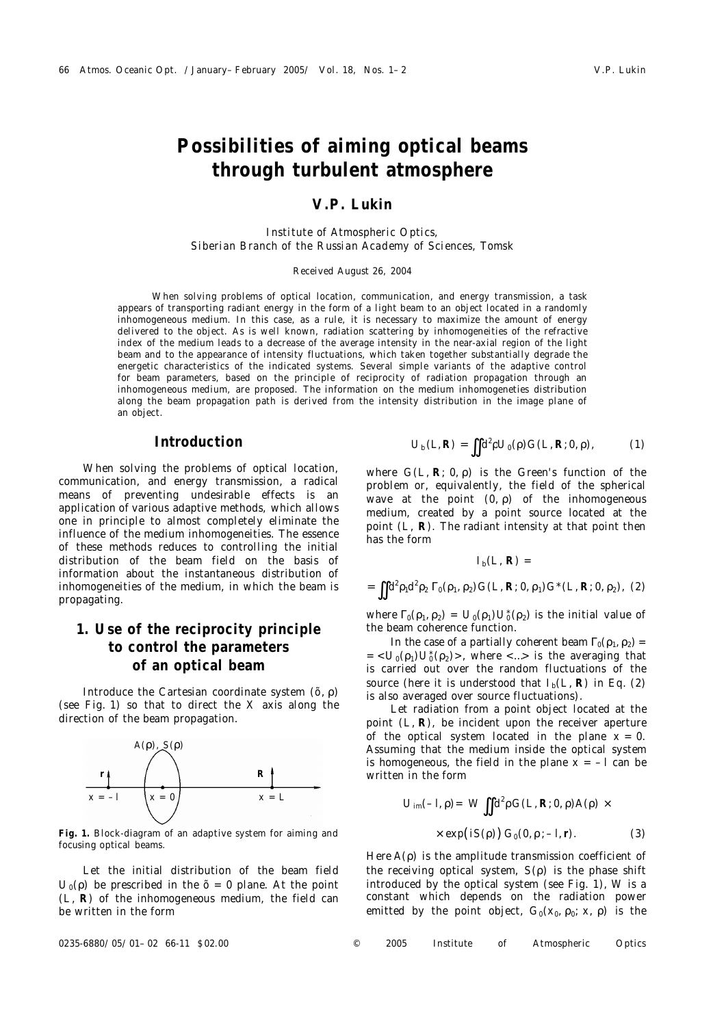# **Possibilities of aiming optical beams through turbulent atmosphere**

## **V.P. Lukin**

*Institute of Atmospheric Optics, Siberian Branch of the Russian Academy of Sciences, Tomsk*

#### Received August 26, 2004

When solving problems of optical location, communication, and energy transmission, a task appears of transporting radiant energy in the form of a light beam to an object located in a randomly inhomogeneous medium. In this case, as a rule, it is necessary to maximize the amount of energy delivered to the object. As is well known, radiation scattering by inhomogeneities of the refractive index of the medium leads to a decrease of the average intensity in the near-axial region of the light beam and to the appearance of intensity fluctuations, which taken together substantially degrade the energetic characteristics of the indicated systems. Several simple variants of the adaptive control for beam parameters, based on the principle of reciprocity of radiation propagation through an inhomogeneous medium, are proposed. The information on the medium inhomogeneties distribution along the beam propagation path is derived from the intensity distribution in the image plane of an object.

### **Introduction**

When solving the problems of optical location, communication, and energy transmission, a radical means of preventing undesirable effects is an application of various adaptive methods, which allows one in principle to almost completely eliminate the influence of the medium inhomogeneities. The essence of these methods reduces to controlling the initial distribution of the beam field on the basis of information about the instantaneous distribution of inhomogeneities of the medium, in which the beam is propagating.

# **1. Use of the reciprocity principle to control the parameters of an optical beam**

Introduce the Cartesian coordinate system (*õ*, ρ) (see Fig. 1) so that to direct the *X* axis along the direction of the beam propagation.



**Fig. 1.** Block-diagram of an adaptive system for aiming and focusing optical beams.

Let the initial distribution of the beam field  $U_0$ (ρ) be prescribed in the  $\tilde{o}$  = 0 plane. At the point (*L*, **R**) of the inhomogeneous medium, the field can be written in the form

$$
U_{b}(L,R) = \iint d^{2} \rho U_{0}(\rho) G(L,R;0,\rho), \qquad (1)
$$

where *G*(*L*, **R**; 0, ρ) is the Green's function of the problem or, equivalently, the field of the spherical wave at the point  $(0, p)$  of the inhomogeneous medium, created by a point source located at the point (*L*, **R**). The radiant intensity at that point then has the form

$$
I_{b}(L, R) =
$$
  
=  $\iint d^{2}p_{1}d^{2}p_{2} \Gamma_{0}(p_{1}, p_{2}) G(L, R; 0, p_{1}) G^{*}(L, R; 0, p_{2}), (2)$ 

where  $\Gamma_0(\rho_1, \rho_2) = U_0(\rho_1) U_0^*(\rho_2)$  is the initial value of the beam coherence function.

In the case of a partially coherent beam  $\Gamma_0(\rho_1,\rho_2)$  =  $= < U_0(\rho_1) U_0^*(\rho_2) >$ , where  $< ... >$  is the averaging that is carried out over the random fluctuations of the source (here it is understood that  $I_b(L, R)$  in Eq. (2) is also averaged over source fluctuations).

Let radiation from a point object located at the point (*L*, **R**), be incident upon the receiver aperture of the optical system located in the plane  $x = 0$ . Assuming that the medium inside the optical system is homogeneous, the field in the plane  $x = -1$  can be written in the form

$$
U_{\text{im}}(-I,\rho) = W \iint d^2 \rho G(L,R;0,\rho) A(\rho) \times
$$
  
 
$$
\times \exp(iS(\rho)) G_0(0,\rho; -I,r).
$$
 (3)

Here *A*(ρ) is the amplitude transmission coefficient of the receiving optical system, *S*(ρ) is the phase shift introduced by the optical system (see Fig. 1), *W* is a constant which depends on the radiation power emitted by the point object,  $G_0(x_0, p_0; x, \rho)$  is the

0235-6880/05/01–02 66-11 \$02.00 © 2005 Institute of Atmospheric Optics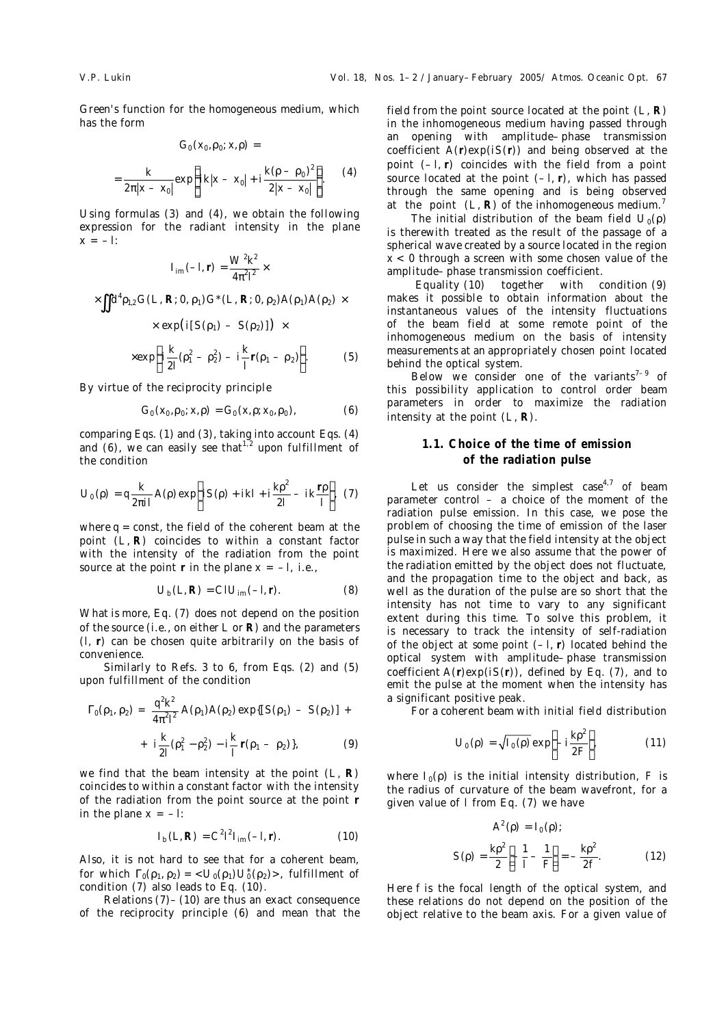Green's function for the homogeneous medium, which has the form

$$
G_0(x_0, \rho_0; x, \rho) =
$$
  
=  $\frac{k}{2\pi |x - x_0|} \exp \left\{ i k |x - x_0| + i \frac{k(\rho - \rho_0)^2}{2 |x - x_0|} \right\}.$  (4)

Using formulas (3) and (4), we obtain the following expression for the radiant intensity in the plane *x* = –*l*:

$$
I_{\rm im}(-I,r)=\frac{W^2k^2}{4\pi^2I^2}\times
$$

$$
\times \iint d^{4}p_{1,2} G(L, R; 0, p_{1}) G^*(L, R; 0, p_{2}) A(p_{1}) A(p_{2}) \times
$$
  
 
$$
\times \exp \left(i[S(p_{1}) - S(p_{2})]\right) \times
$$

$$
\times \exp\left\{ i\frac{k}{2I}(\rho_1^2 - \rho_2^2) - i\frac{k}{I}r(\rho_1 - \rho_2) \right\}.
$$
 (5)

By virtue of the reciprocity principle

$$
G_0(x_0, \rho_0; x, \rho) = G_0(x, \rho; x_0, \rho_0), \qquad (6)
$$

comparing Eqs. (1) and (3), taking into account Eqs. (4) and (6), we can easily see that<sup>1,2</sup> upon fulfillment of the condition

$$
U_0(\rho) = q \frac{k}{2\pi i l} A(\rho) \exp \left( iS(\rho) + ikl + i \frac{k\rho^2}{2l} - ik \frac{r\rho}{l} \right). (7)
$$

where  $q =$  const, the field of the coherent beam at the point (*L*, **R**) coincides to within a constant factor with the intensity of the radiation from the point source at the point **r** in the plane  $x = -l$ , i.e.,

$$
U_{\rm b}(L,\mathsf{R})=ClU_{\rm im}(-l,\mathsf{r}).\tag{8}
$$

What is more, Eq. (7) does not depend on the position of the source (i.e., on either *L* or **R**) and the parameters (*l*, **r**) can be chosen quite arbitrarily on the basis of convenience.

Similarly to Refs. 3 to 6, from Eqs. (2) and (5) upon fulfillment of the condition

2 2

$$
\Gamma_0(\rho_1, \rho_2) = \frac{q^2 k^2}{4\pi^2 l^2} A(\rho_1) A(\rho_2) \exp\{[S(\rho_1) - S(\rho_2)] + i \frac{k}{2l} (\rho_1^2 - \rho_2^2) - i \frac{k}{l} r(\rho_1 - \rho_2) \},
$$
\n(9)

we find that the beam intensity at the point (*L*, **R**) coincides to within a constant factor with the intensity of the radiation from the point source at the point **r** in the plane  $x = -l$ :

$$
I_{\rm b}(L,\mathsf{R}) = C^2 l^2 I_{\rm im}(-l,\mathsf{r}).\tag{10}
$$

Also, it is not hard to see that for a coherent beam, for which  $\Gamma_0(\rho_1, \rho_2) = \langle U_0(\rho_1) U_0^*(\rho_2) \rangle$ , fulfillment of condition (7) also leads to Eq. (10).

Relations (7)–(10) are thus an exact consequence of the reciprocity principle (6) and mean that the field from the point source located at the point (*L*, **R**) in the inhomogeneous medium having passed through an opening with amplitude–phase transmission coefficient *A*(**r**)exp(*iS*(**r**)) and being observed at the point (–*l*, **r**) coincides with the field from a point source located at the point (–*l*, **r**), which has passed through the same opening and is being observed at the point  $(L, R)$  of the inhomogeneous medium.<sup>7</sup>

The initial distribution of the beam field  $U_0(\rho)$ is therewith treated as the result of the passage of a spherical wave created by a source located in the region *x* < 0 through a screen with some chosen value of the amplitude–phase transmission coefficient.

 Equality (10) together with condition (9) makes it possible to obtain information about the instantaneous values of the intensity fluctuations of the beam field at some remote point of the inhomogeneous medium on the basis of intensity measurements at an appropriately chosen point located behind the optical system.

Below we consider one of the variants<sup>7-9</sup> of this possibility application to control order beam parameters in order to maximize the radiation intensity at the point (*L*, **R**).

### **1.1. Choice of the time of emission of the radiation pulse**

Let us consider the simplest case<sup>4,7</sup> of beam parameter control  $-$  a choice of the moment of the radiation pulse emission. In this case, we pose the problem of choosing the time of emission of the laser pulse in such a way that the field intensity at the object is maximized. Here we also assume that the power of the radiation emitted by the object does not fluctuate, and the propagation time to the object and back, as well as the duration of the pulse are so short that the intensity has not time to vary to any significant extent during this time. To solve this problem, it is necessary to track the intensity of self-radiation of the object at some point (–*l*, **r**) located behind the optical system with amplitude–phase transmission coefficient *A*(**r**)exp(*iS*(**r**)), defined by Eq. (7), and to emit the pulse at the moment when the intensity has a significant positive peak.

For a coherent beam with initial field distribution

$$
U_0(\rho) = \sqrt{I_0(\rho)} \exp\left(-i\frac{k\rho^2}{2F}\right),\tag{11}
$$

where  $I_0(\rho)$  is the initial intensity distribution, *F* is the radius of curvature of the beam wavefront, for a given value of *l* from Eq. (7) we have

$$
A^{2}(\rho) = I_{0}(\rho);
$$
  

$$
S(\rho) = \frac{k\rho^{2}}{2} \left[ -\frac{1}{I} - \frac{1}{F} \right] = -\frac{k\rho^{2}}{2f}.
$$
 (12)

Here *f* is the focal length of the optical system, and these relations do not depend on the position of the object relative to the beam axis. For a given value of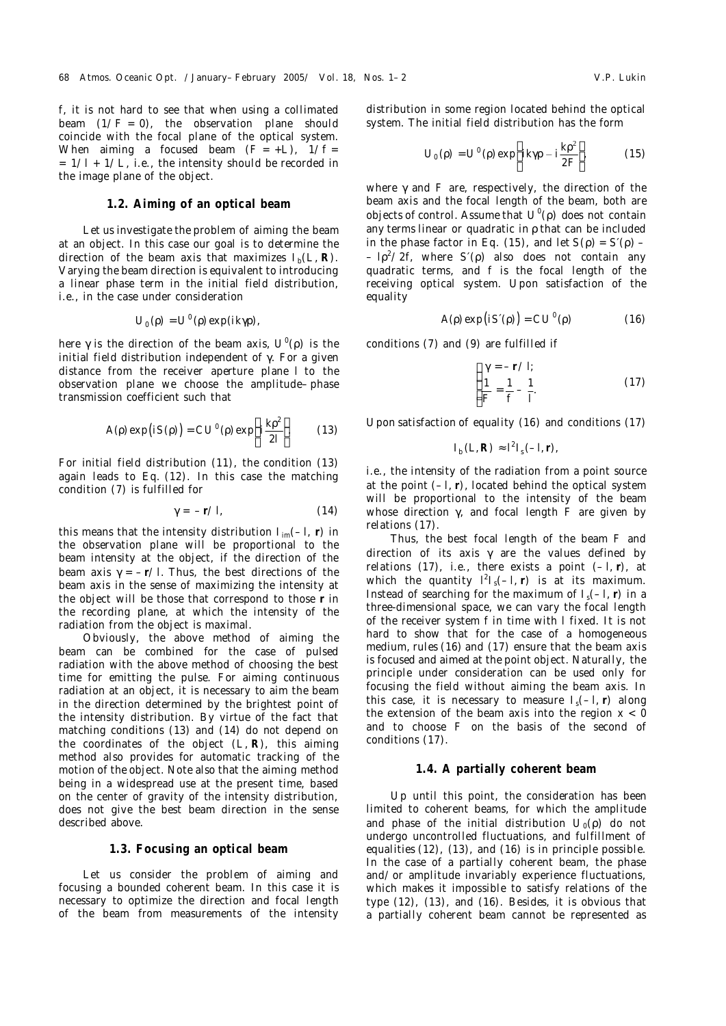*f*, it is not hard to see that when using a collimated beam  $(1/F = 0)$ , the observation plane should coincide with the focal plane of the optical system. When aiming a focused beam  $(F = +L)$ ,  $1/f =$ = 1/*l* + 1/*L*, i.e., the intensity should be recorded in the image plane of the object.

#### **1.2. Aiming of an optical beam**

Let us investigate the problem of aiming the beam at an object. In this case our goal is to determine the direction of the beam axis that maximizes  $I_b(L, R)$ . Varying the beam direction is equivalent to introducing a linear phase term in the initial field distribution, i.e., in the case under consideration

$$
U_0(\rho) = U^0(\rho) \exp(ik\gamma \rho),
$$

here γ is the direction of the beam axis, *U*<sup>0</sup> (ρ) is the initial field distribution independent of γ. For a given distance from the receiver aperture plane *l* to the observation plane we choose the amplitude–phase transmission coefficient such that

$$
A(\rho) \exp(iS(\rho)) = C U^0(\rho) \exp\left(i\frac{k\rho^2}{2I}\right).
$$
 (13)

For initial field distribution (11), the condition (13) again leads to Eq. (12). In this case the matching condition (7) is fulfilled for

$$
\gamma = -r \angle l, \tag{14}
$$

this means that the intensity distribution  $I_{im}(-I, r)$  in the observation plane will be proportional to the beam intensity at the object, if the direction of the beam axis γ = –**r***/l.* Thus, the best directions of the beam axis in the sense of maximizing the intensity at the object will be those that correspond to those **r** in the recording plane, at which the intensity of the radiation from the object is maximal.

Obviously, the above method of aiming the beam can be combined for the case of pulsed radiation with the above method of choosing the best time for emitting the pulse. For aiming continuous radiation at an object, it is necessary to aim the beam in the direction determined by the brightest point of the intensity distribution. By virtue of the fact that matching conditions (13) and (14) do not depend on the coordinates of the object (*L*, **R**), this aiming method also provides for automatic tracking of the motion of the object. Note also that the aiming method being in a widespread use at the present time, based on the center of gravity of the intensity distribution, does not give the best beam direction in the sense described above.

### **1.3. Focusing an optical beam**

Let us consider the problem of aiming and focusing a bounded coherent beam. In this case it is necessary to optimize the direction and focal length of the beam from measurements of the intensity distribution in some region located behind the optical system. The initial field distribution has the form

$$
U_0(\rho) = U^0(\rho) \exp\left(ik\gamma \rho - i\frac{k\rho^2}{2F}\right),\tag{15}
$$

where γ and *F* are, respectively, the direction of the beam axis and the focal length of the beam, both are objects of control. Assume that *U*<sup>0</sup>(ρ) does not contain any terms linear or quadratic in ρ that can be included in the phase factor in Eq. (15), and let  $S(\rho) = S(\rho)$  – – *l*ρ <sup>2</sup>/2*f*, where *S*′(ρ) also does not contain any quadratic terms, and *f* is the focal length of the receiving optical system. Upon satisfaction of the equality

$$
A(\rho) \exp(iS'(\rho)) = CU^0(\rho) \tag{16}
$$

conditions (7) and (9) are fulfilled if

$$
\begin{cases}\n\gamma = -r \angle t; \\
\frac{1}{F} = \frac{1}{f} - \frac{1}{l}.\n\end{cases}
$$
\n(17)

Upon satisfaction of equality (16) and conditions (17)

$$
I_{\rm b}(L,\mathsf{R})\approx l^2I_{\rm s}(-l,\mathsf{r}),
$$

i.e., the intensity of the radiation from a point source at the point (–*l*, **r**), located behind the optical system will be proportional to the intensity of the beam whose direction γ, and focal length *F* are given by relations (17).

Thus, the best focal length of the beam *F* and direction of its axis  $\gamma$  are the values defined by relations (17), i.e., there exists a point (–*l*, **r**), at which the quantity  $l^2 I_s(-I, r)$  is at its maximum. Instead of searching for the maximum of  $I_s(-I, r)$  in a three-dimensional space, we can vary the focal length of the receiver system *f* in time with *l* fixed. It is not hard to show that for the case of a homogeneous medium, rules (16) and (17) ensure that the beam axis is focused and aimed at the point object. Naturally, the principle under consideration can be used only for focusing the field without aiming the beam axis. In this case, it is necessary to measure  $I_s(-I, r)$  along the extension of the beam axis into the region  $x < 0$ and to choose *F* on the basis of the second of conditions (17).

#### **1.4. A partially coherent beam**

Up until this point, the consideration has been limited to coherent beams, for which the amplitude and phase of the initial distribution *U*<sub>0</sub>(ρ) do not undergo uncontrolled fluctuations, and fulfillment of equalities (12), (13), and (16) is in principle possible. In the case of a partially coherent beam, the phase and/or amplitude invariably experience fluctuations, which makes it impossible to satisfy relations of the type (12), (13), and (16). Besides, it is obvious that a partially coherent beam cannot be represented as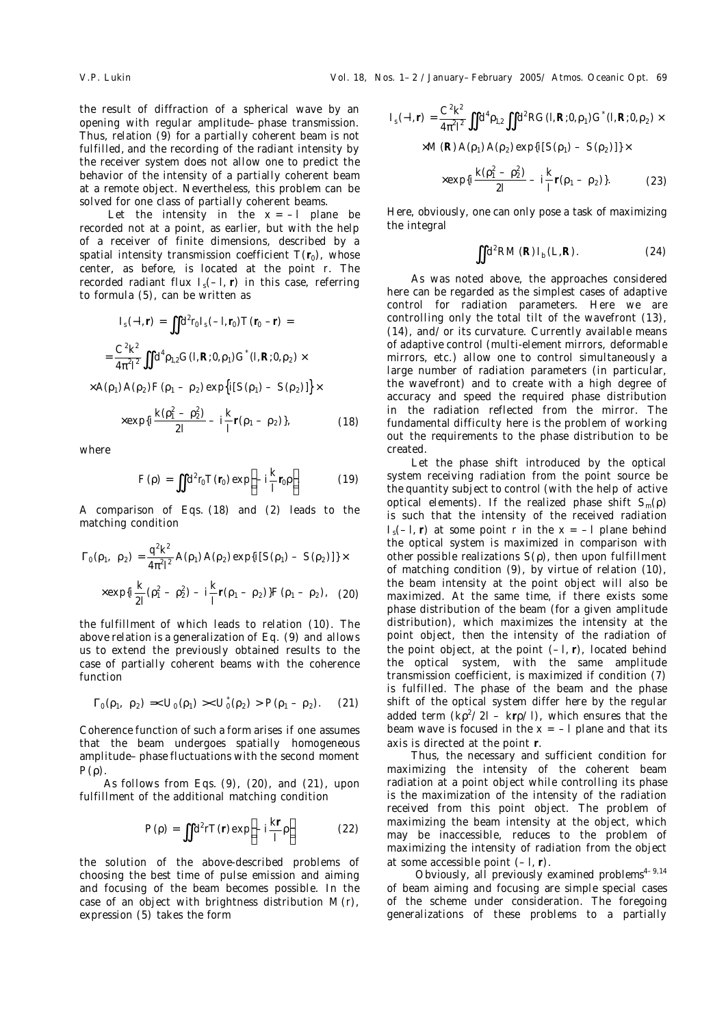the result of diffraction of a spherical wave by an opening with regular amplitude–phase transmission. Thus, relation (9) for a partially coherent beam is not fulfilled, and the recording of the radiant intensity by the receiver system does not allow one to predict the behavior of the intensity of a partially coherent beam at a remote object. Nevertheless, this problem can be solved for one class of partially coherent beams.

Let the intensity in the  $x = -1$  plane be recorded not at a point, as earlier, but with the help of a receiver of finite dimensions, described by a spatial intensity transmission coefficient  $T(r_0)$ , whose center, as before, is located at the point *r*. The recorded radiant flux *I*s(–*l*, **r**) in this case, referring to formula (5), can be written as

$$
I_{s}(-I,r) = \iint d^{2}r_{0} I_{s}(-I,r_{0}) T(r_{0} - r) =
$$
  
= 
$$
\frac{C^{2}k^{2}}{4\pi^{2} \iint d^{4}p_{1,2} G(I,R;0,\rho_{1}) G^{*}(I,R;0,\rho_{2}) \times
$$

 $\times$ A( $\rho$ <sub>1</sub>)A( $\rho$ <sub>2</sub>)F( $\rho$ <sub>1</sub> –  $\rho$ <sub>2</sub>)exp $\big\{i[S(\rho_1)-S(\rho_2)]\big\}\times$ 

$$
\times \exp\{i\frac{k(\rho_1^2-\rho_2^2)}{2I} - i\frac{k}{I}r(\rho_1-\rho_2)\},\tag{18}
$$

where

$$
F(\rho) = \iint d^2 r_0 T(r_0) \exp\left(-i\frac{k}{l}r_0 \rho\right)
$$
 (19)

A comparison of Eqs. (18) and (2) leads to the matching condition

$$
\Gamma_0(\rho_1, \rho_2) = \frac{q^2 k^2}{4\pi^2 l^2} A(\rho_1) A(\rho_2) \exp\{i[S(\rho_1) - S(\rho_2)]\} \times
$$
  
 
$$
\times \exp\{i\frac{k}{2l}(\rho_1^2 - \rho_2^2) - i\frac{k}{l}(\rho_1 - \rho_2)\} F(\rho_1 - \rho_2), \quad (20)
$$

the fulfillment of which leads to relation (10). The above relation is a generalization of Eq. (9) and allows us to extend the previously obtained results to the case of partially coherent beams with the coherence function

$$
\Gamma_0(\rho_1, \ \rho_2) =   P(\rho_1 - \rho_2). \tag{21}
$$

Coherence function of such a form arises if one assumes that the beam undergoes spatially homogeneous amplitude–phase fluctuations with the second moment  $P(\rho)$ 

As follows from Eqs. (9), (20), and (21), upon fulfillment of the additional matching condition

$$
P(\rho) = \iint d^2 r T(r) \exp\left(-i\frac{kr}{l}\rho\right)
$$
 (22)

the solution of the above-described problems of choosing the best time of pulse emission and aiming and focusing of the beam becomes possible. In the case of an object with brightness distribution *M*(*r*), expression (5) takes the form

$$
I_{s}(-l,r) = \frac{C^{2}k^{2}}{4\pi^{2}l^{2}} \iint d^{4}p_{12} \iint d^{2}RG(l,R;0,\rho_{1}) G^{*}(l,R;0,\rho_{2}) \times
$$
  
×M(R) A(\rho\_{1}) A(\rho\_{2}) exp{i[S(\rho\_{1}) - S(\rho\_{2})]} \times  
×exp{i $\frac{k(\rho_{1}^{2} - \rho_{2}^{2})}{2l} - i\frac{k}{l}r(\rho_{1} - \rho_{2})$ }. (23)

Here, obviously, one can only pose a task of maximizing the integral

$$
\iint d^2RM(R) I_b(L,R). \tag{24}
$$

As was noted above, the approaches considered here can be regarded as the simplest cases of adaptive control for radiation parameters. Here we are controlling only the total tilt of the wavefront (13), (14), and/or its curvature. Currently available means of adaptive control (multi-element mirrors, deformable mirrors, etc.) allow one to control simultaneously a large number of radiation parameters (in particular, the wavefront) and to create with a high degree of accuracy and speed the required phase distribution in the radiation reflected from the mirror. The fundamental difficulty here is the problem of working out the requirements to the phase distribution to be created.

Let the phase shift introduced by the optical system receiving radiation from the point source be the quantity subject to control (with the help of active optical elements). If the realized phase shift *Sm*(ρ) is such that the intensity of the received radiation  $I_s(-I, r)$  at some point *r* in the  $x = -I$  plane behind the optical system is maximized in comparison with other possible realizations *S*(ρ), then upon fulfillment of matching condition (9), by virtue of relation (10), the beam intensity at the point object will also be maximized. At the same time, if there exists some phase distribution of the beam (for a given amplitude distribution), which maximizes the intensity at the point object, then the intensity of the radiation of the point object, at the point (–*l*, **r**), located behind the optical system, with the same amplitude transmission coefficient, is maximized if condition (7) is fulfilled. The phase of the beam and the phase shift of the optical system differ here by the regular added term (*k*ρ <sup>2</sup>/2*l* – *k***r**ρ/*l*), which ensures that the beam wave is focused in the  $x = -1$  plane and that its axis is directed at the point **r**.

Thus, the necessary and sufficient condition for maximizing the intensity of the coherent beam radiation at a point object while controlling its phase is the maximization of the intensity of the radiation received from this point object. The problem of maximizing the beam intensity at the object, which may be inaccessible, reduces to the problem of maximizing the intensity of radiation from the object at some accessible point (–*l*, **r**).

Obviously, all previously examined problems $4-9.14$ of beam aiming and focusing are simple special cases of the scheme under consideration. The foregoing generalizations of these problems to a partially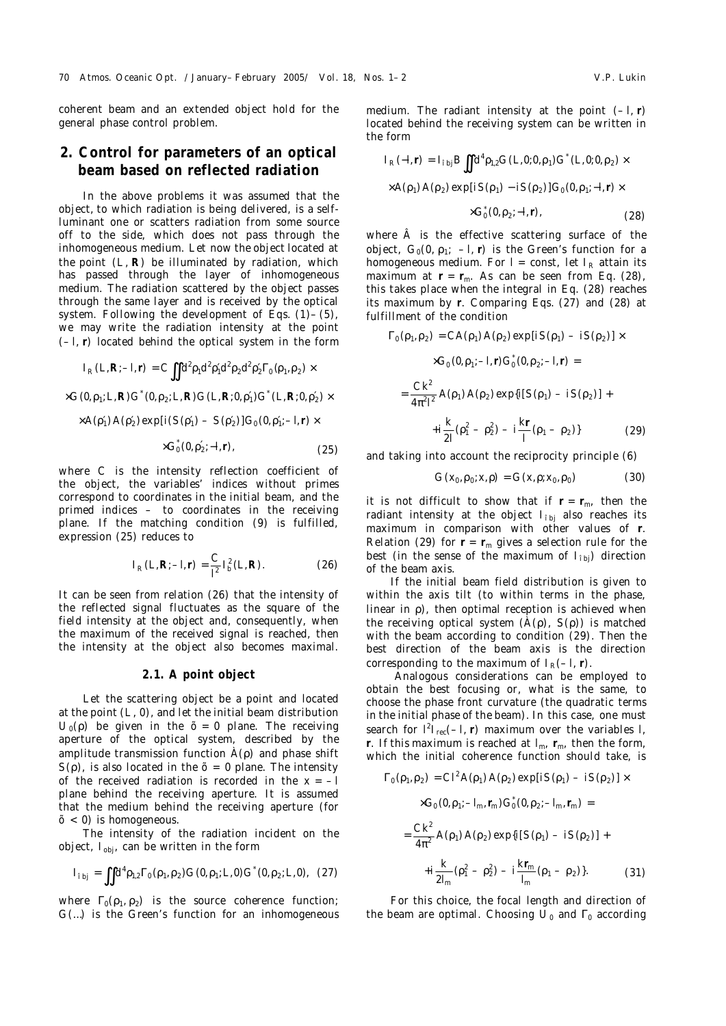coherent beam and an extended object hold for the general phase control problem.

# **2. Control for parameters of an optical beam based on reflected radiation**

In the above problems it was assumed that the object, to which radiation is being delivered, is a selfluminant one or scatters radiation from some source off to the side, which does not pass through the inhomogeneous medium. Let now the object located at the point (*L*, **R**) be illuminated by radiation, which has passed through the layer of inhomogeneous medium. The radiation scattered by the object passes through the same layer and is received by the optical system. Following the development of Eqs.  $(1)$ – $(5)$ , we may write the radiation intensity at the point (–*l*, **r**) located behind the optical system in the form

$$
I_R(L, R; -I, r) = C \iint d^2 p_1 d^2 p'_1 d^2 p_2 d^2 p'_2 \Gamma_0(p_1, p_2) \times
$$
  
\n
$$
\times G(0, p_1; L, R) G^*(0, p_2; L, R) G(L, R; 0, p'_1) G^*(L, R; 0, p'_2) \times
$$
  
\n
$$
\times A(p'_1) A(p'_2) \exp[i(S(p'_1) - S(p'_2)] G_0(0, p'_1; -I, r) \times
$$
  
\n
$$
\times G_0^*(0, p'_2; -I, r),
$$
\n(25)

where *C* is the intensity reflection coefficient of the object, the variables' indices without primes correspond to coordinates in the initial beam, and the primed indices – to coordinates in the receiving plane. If the matching condition (9) is fulfilled, expression (25) reduces to

$$
I_R(L, R; -I, r) = \frac{C}{l^2} I_b^2(L, R).
$$
 (26)

It can be seen from relation (26) that the intensity of the reflected signal fluctuates as the square of the field intensity at the object and, consequently, when the maximum of the received signal is reached, then the intensity at the object also becomes maximal.

#### **2.1. A point object**

Let the scattering object be a point and located at the point (*L*, 0), and let the initial beam distribution  $U_0$ (ρ) be given in the  $\tilde{o}$  = 0 plane. The receiving aperture of the optical system, described by the amplitude transmission function *À*(ρ) and phase shift  $S(\rho)$ , is also located in the  $\tilde{\rho} = 0$  plane. The intensity of the received radiation is recorded in the  $x = -l$ plane behind the receiving aperture. It is assumed that the medium behind the receiving aperture (for *õ* < 0) is homogeneous.

The intensity of the radiation incident on the object,  $I_{\text{obj}}$ , can be written in the form

$$
I_{\text{ibj}} = \iint d^4 p_{1,2} \Gamma_0(\rho_1, \rho_2) G(0, \rho_1; L, 0) G^*(0, \rho_2; L, 0), \quad (27)
$$

where  $\Gamma_0(\rho_1,\rho_2)$  is the source coherence function; *G*(…) is the Green's function for an inhomogeneous medium. The radiant intensity at the point  $(-1, r)$ located behind the receiving system can be written in the form

$$
I_R(-I,r) = I_{\text{rbj}} B \iint d^4 \rho_{1,2} G(L,0;0,\rho_1) G^*(L,0;0,\rho_2) \times
$$
  
 
$$
\times A(\rho_1) A(\rho_2) \exp[iS(\rho_1) - iS(\rho_2)] G_0(0,\rho_1; -I,r) \times
$$

$$
\times G_0^*(0,\rho_2;-l,r),\tag{28}
$$

where *Â* is the effective scattering surface of the object,  $G_0(0, p_1; -l, r)$  is the Green's function for a homogeneous medium. For  $l =$  const, let  $l_R$  attain its maximum at  $r = r_m$ . As can be seen from Eq. (28), this takes place when the integral in Eq. (28) reaches its maximum by **r**. Comparing Eqs. (27) and (28) at fulfillment of the condition

$$
\Gamma_0(\rho_1, \rho_2) = CA(\rho_1) A(\rho_2) \exp[iS(\rho_1) - iS(\rho_2)] \times
$$
  
\n
$$
\times G_0(0, \rho_1; -1, r) G_0^*(0, \rho_2; -1, r) =
$$
  
\n
$$
= \frac{Ck^2}{4\pi^2 l^2} A(\rho_1) A(\rho_2) \exp\{i[S(\rho_1) - iS(\rho_2)] +
$$
  
\n
$$
+i\frac{k}{2l} (\rho_1^2 - \rho_2^2) - i\frac{kr}{l} (\rho_1 - \rho_2)\}
$$
 (29)

and taking into account the reciprocity principle (6)

$$
G(x_0, \rho_0; x, \rho) = G(x, \rho; x_0, \rho_0)
$$
 (30)

it is not difficult to show that if  $r = r_m$ , then the radiant intensity at the object  $I_{\text{fbi}}$  also reaches its maximum in comparison with other values of **r**. Relation (29) for  $r = r_m$  gives a selection rule for the best (in the sense of the maximum of  $I_{\text{fb}}$ ) direction of the beam axis.

If the initial beam field distribution is given to within the axis tilt (to within terms in the phase, linear in  $\rho$ ), then optimal reception is achieved when the receiving optical system (*À*(ρ), *S*(ρ)) is matched with the beam according to condition (29). Then the best direction of the beam axis is the direction corresponding to the maximum of  $I_R(-1, r)$ .

 Analogous considerations can be employed to obtain the best focusing or, what is the same, to choose the phase front curvature (the quadratic terms in the initial phase of the beam). In this case, one must search for  $l^2I_{\text{rec}}(-I, r)$  maximum over the variables *I*, **r**. If this maximum is reached at *l*m, **r**m, then the form, which the initial coherence function should take, is

 $22.22 \times 22.2$ 

$$
\Gamma_0(\rho_1, \rho_2) = CI^2 A(\rho_1) A(\rho_2) \exp[iS(\rho_1) - iS(\rho_2)] \times
$$
  
\n
$$
\times G_0(0, \rho_1; -I_m, r_m) G_0^*(0, \rho_2; -I_m, r_m) =
$$
  
\n
$$
= \frac{CK^2}{4\pi^2} A(\rho_1) A(\rho_2) \exp\{i[S(\rho_1) - iS(\rho_2)] +
$$
  
\n
$$
+i\frac{k}{2I_m}(\rho_1^2 - \rho_2^2) - i\frac{k r_m}{I_m}(\rho_1 - \rho_2)\}.
$$
 (31)

For this choice, the focal length and direction of the beam are optimal. Choosing  $U_0$  and  $\Gamma_0$  according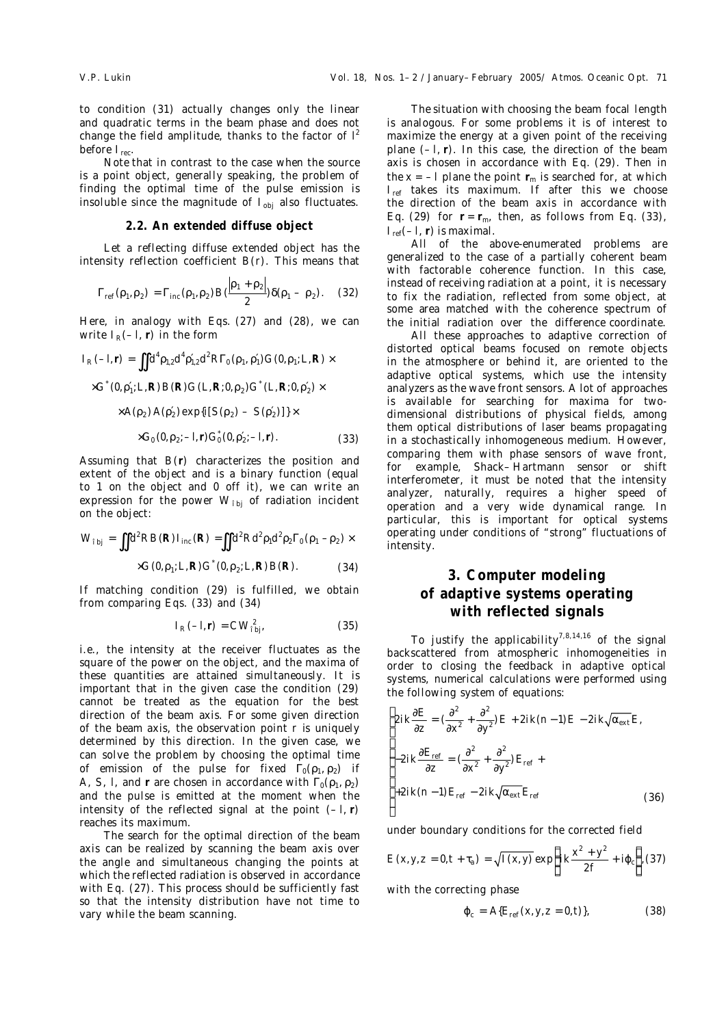to condition (31) actually changes only the linear and quadratic terms in the beam phase and does not change the field amplitude, thanks to the factor of *l* 2 before *I*rec.

Note that in contrast to the case when the source is a point object, generally speaking, the problem of finding the optimal time of the pulse emission is insoluble since the magnitude of  $I_{obj}$  also fluctuates.

#### **2.2. An extended diffuse object**

Let a reflecting diffuse extended object has the intensity reflection coefficient *B*(*r*). This means that

$$
\Gamma_{\text{ref}}(\rho_1, \rho_2) = \Gamma_{\text{inc}}(\rho_1, \rho_2) B(\frac{|\rho_1 + \rho_2|}{2}) \delta(\rho_1 - \rho_2). \quad (32)
$$

Here, in analogy with Eqs. (27) and (28), we can write  $I_R(-I, r)$  in the form

$$
I_R(-I,r) = \iint d^4 \rho_{1,2} d^4 \rho'_{1,2} d^2 R \Gamma_0(\rho_1, \rho'_1) G(0, \rho_1; L, R) \times
$$
  
×*G*<sup>\*</sup>(0, *p*<sub>1</sub><sup>′</sup>; *L*, *R*) *B*(*R*) *G*(*L*, *R*; 0, *\rho*<sub>2</sub>) *G*<sup>\*</sup>(*L*, *R*; 0, *\rho*<sub>2</sub>) ×  
×*A*(*\rho*<sub>2</sub>) *A*(*\rho*<sub>2</sub>) exp{*i*[*S*(*\rho*<sub>2</sub>) - *S*(*\rho*<sub>2</sub>')]\times

$$
\times G_0(0,\rho_2;-l,r)G_0^*(0,\rho'_2;-l,r).
$$
 (33)

Assuming that *B*(**r**) characterizes the position and extent of the object and is a binary function (equal to 1 on the object and 0 off it), we can write an expression for the power  $W_{\text{ini}}$  of radiation incident on the object:

$$
W_{\text{bj}} = \iint d^2 R B(R) I_{\text{inc}}(R) = \iint d^2 R d^2 \rho_1 d^2 \rho_2 \Gamma_0(\rho_1 - \rho_2) \times
$$
  
×*G*(0, $\rho_1$ ; *L*, *R*) *G*<sup>\*</sup> (0, $\rho_2$ ; *L*, *R*) *B*(*R*). (34)

If matching condition (29) is fulfilled, we obtain from comparing Eqs. (33) and (34)

$$
I_R(-I,r) = CW_{\text{fbj}}^2,\tag{35}
$$

i.e., the intensity at the receiver fluctuates as the square of the power on the object, and the maxima of these quantities are attained simultaneously. It is important that in the given case the condition (29) cannot be treated as the equation for the best direction of the beam axis. For some given direction of the beam axis, the observation point *r* is uniquely determined by this direction. In the given case, we can solve the problem by choosing the optimal time of emission of the pulse for fixed  $\Gamma_0(\rho_1,\rho_2)$  if *A*, *S*, *l*, and *r* are chosen in accordance with  $\Gamma_0(\rho_1, \rho_2)$ and the pulse is emitted at the moment when the intensity of the reflected signal at the point  $(-1, r)$ reaches its maximum.

The search for the optimal direction of the beam axis can be realized by scanning the beam axis over the angle and simultaneous changing the points at which the reflected radiation is observed in accordance with Eq. (27). This process should be sufficiently fast so that the intensity distribution have not time to vary while the beam scanning.

The situation with choosing the beam focal length is analogous. For some problems it is of interest to maximize the energy at a given point of the receiving plane (–*l*, **r**). In this case, the direction of the beam axis is chosen in accordance with Eq. (29). Then in the  $x = -1$  plane the point  $r_m$  is searched for, at which *I*<sub>ref</sub> takes its maximum. If after this we choose the direction of the beam axis in accordance with Eq. (29) for  $r = r_m$ , then, as follows from Eq. (33),  $I_{ref}(-I, r)$  is maximal.

All of the above-enumerated problems are generalized to the case of a partially coherent beam with factorable coherence function. In this case, instead of receiving radiation at a point, it is necessary to fix the radiation, reflected from some object, at some area matched with the coherence spectrum of the initial radiation over the difference coordinate.

All these approaches to adaptive correction of distorted optical beams focused on remote objects in the atmosphere or behind it, are oriented to the adaptive optical systems, which use the intensity analyzers as the wave front sensors. A lot of approaches is available for searching for maxima for twodimensional distributions of physical fields, among them optical distributions of laser beams propagating in a stochastically inhomogeneous medium. However, comparing them with phase sensors of wave front, for example, Shack–Hartmann sensor or shift interferometer, it must be noted that the intensity analyzer, naturally, requires a higher speed of operation and a very wide dynamical range. In particular, this is important for optical systems operating under conditions of "strong" fluctuations of intensity.

# **3. Computer modeling of adaptive systems operating with reflected signals**

To justify the applicability<sup>7,8,14,16</sup> of the signal backscattered from atmospheric inhomogeneities in order to closing the feedback in adaptive optical systems, numerical calculations were performed using the following system of equations:

$$
\begin{cases}\n2ik\frac{\partial E}{\partial z} = \left(\frac{\partial^2}{\partial x^2} + \frac{\partial^2}{\partial y^2}\right)E + 2ik(n-1)E - 2ik\sqrt{\alpha_{\text{ext}}}E, \\
-2ik\frac{\partial E_{\text{ref}}}{\partial z} = \left(\frac{\partial^2}{\partial x^2} + \frac{\partial^2}{\partial y^2}\right)E_{\text{ref}} + \\
+2ik(n-1)E_{\text{ref}} - 2ik\sqrt{\alpha_{\text{ext}}}E_{\text{ref}}\n\end{cases}
$$
\n(36)

under boundary conditions for the corrected field

$$
E(x, y, z = 0, t + \tau_a) = \sqrt{I(x, y)} \exp\left\{ik\frac{x^2 + y^2}{2f} + i\varphi_c\right\}, (37)
$$

with the correcting phase

$$
\varphi_{c} = A\{E_{ref}(x, y, z = 0, t)\},\tag{38}
$$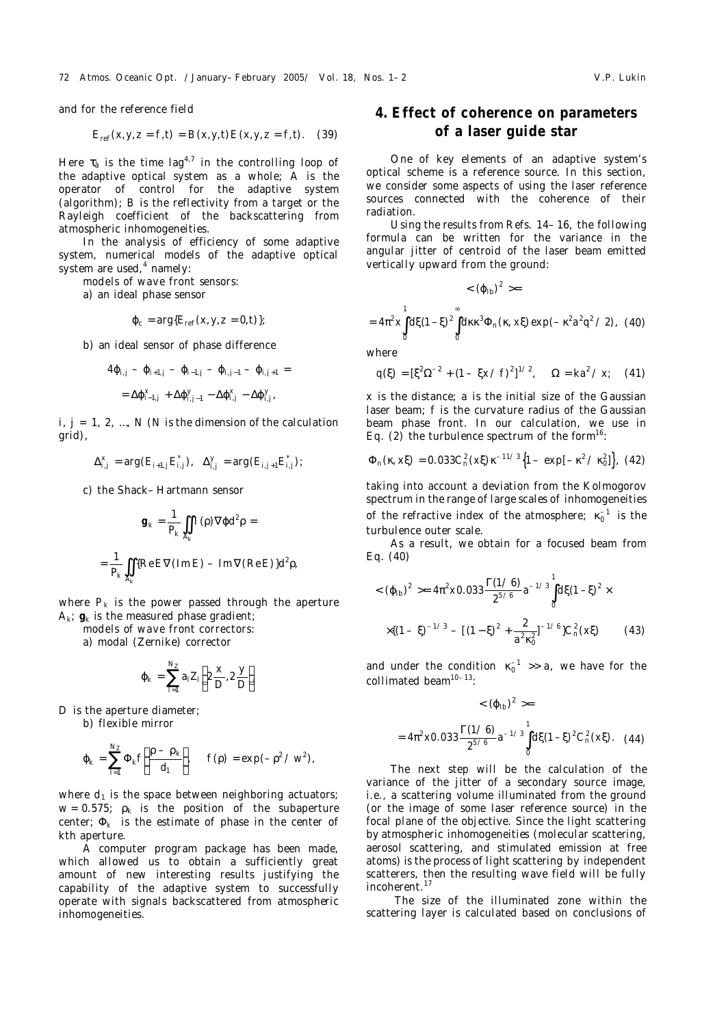and for the reference field

$$
E_{\rm ref}(x, y, z = f, t) = B(x, y, t) E(x, y, z = f, t).
$$
 (39)

Here  $\tau_a$  is the time lag<sup>4,7</sup> in the controlling loop of the adaptive optical system as a whole; *A* is the operator of control for the adaptive system (algorithm); *B* is the reflectivity from a target or the Rayleigh coefficient of the backscattering from atmospheric inhomogeneities.

In the analysis of efficiency of some adaptive system, numerical models of the adaptive optical system are used,<sup>4</sup> namely:

*models of wave front sensors:*

a) an ideal phase sensor

$$
\varphi_c = \arg\{E_{\text{ref}}(x, y, z = 0, t)\};
$$

b) an ideal sensor of phase difference

$$
4\varphi_{i,j} - \varphi_{i+1,j} - \varphi_{i-1,j} - \varphi_{i,j-1} - \varphi_{i,j+1} =
$$
  
=  $\Delta \varphi_{i-1,j}^x + \Delta \varphi_{i,j-1}^y - \Delta \varphi_{i,j}^x - \Delta \varphi_{i,j}^y$ 

 $i, j = 1, 2, ..., N$  (*N* is the dimension of the calculation grid),

$$
\Delta_{i,j}^{x} = \arg(E_{i+1,j} E_{i,j}^{*}), \quad \Delta_{i,j}^{y} = \arg(E_{i,j+1} E_{i,j}^{*});
$$

c) the Shack–Hartmann sensor

$$
g_k = \frac{1}{P_k} \iint_{A_k} I(\rho) \nabla \varphi d^2 \rho =
$$

$$
= \frac{1}{P_k} \iint_{A_k} \{ \text{Re}\, E \nabla \, (\text{Im}\, E) - \text{Im}\, \nabla (\text{Re}\, E) \} d^2 \rho,
$$

where  $P_k$  is the power passed through the aperture  $A_k$ ;  $g_k$  is the measured phase gradient;

*models of wave front correctors:*

a) modal (Zernike) corrector

$$
\varphi_k = \sum_{i=1}^{N_Z} a_i Z_i \left( 2 \frac{x}{D}, 2 \frac{y}{D} \right)
$$

*D* is the aperture diameter;

b) flexible mirror

$$
\varphi_k = \sum_{l=1}^{N_Z} \Phi_k f\left(\frac{\rho - \rho_k}{d_l}\right), \quad f(\rho) = \exp(-\rho^2 / w^2),
$$

where  $d_1$  is the space between neighboring actuators;  $w = 0.575$ ;  $\rho_k$  is the position of the subaperture center;  $\Phi_k$  is the estimate of phase in the center of *k*th aperture.

A computer program package has been made, which allowed us to obtain a sufficiently great amount of new interesting results justifying the capability of the adaptive system to successfully operate with signals backscattered from atmospheric inhomogeneities.

# **4. Effect of coherence on parameters of a laser guide star**

One of key elements of an adaptive system's optical scheme is a reference source. In this section, we consider some aspects of using the laser reference sources connected with the coherence of their radiation.

Using the results from Refs. 14–16, the following formula can be written for the variance in the angular jitter of centroid of the laser beam emitted vertically upward from the ground:

$$
<(\phi_{\text{lb}})^2>=
$$

$$
=4\pi^{2}x\int_{0}^{1}d\xi(1-\xi)^{2}\int_{0}^{\infty}d\kappa\kappa^{3}\Phi_{n}(\kappa, x\xi) \exp(-\kappa^{2}a^{2}q^{2}/2),
$$
 (40)

where

$$
q(\xi) = [\xi^2 \Omega^{-2} + (1 - \xi x / f)^2]^{1/2}, \quad \Omega = k a^2 / x; \quad (41)
$$

*x* is the distance; *a* is the initial size of the Gaussian laser beam; *f* is the curvature radius of the Gaussian beam phase front. In our calculation, we use in Eq. (2) the turbulence spectrum of the form<sup>16</sup>:

$$
\Phi_n(\kappa, x\xi) = 0.033 C_n^2(x\xi) \kappa^{-11/3} \left\{ 1 - \exp[-\kappa^2 / \kappa_0^2] \right\}, (42)
$$

taking into account a deviation from the Kolmogorov spectrum in the range of large scales of inhomogeneities of the refractive index of the atmosphere;  $\kappa_0^{-1}$  is the turbulence outer scale.

As a result, we obtain for a focused beam from Eq. (40)

$$
\langle (\varphi_{\mathsf{lb}})^2 \rangle = 4\pi^2 \times 0.033 \frac{\Gamma(1/6)}{2^{5/6}} a^{-1/3} \int_0^1 d\xi (1-\xi)^2 \times
$$
  
 
$$
\times \{ (1-\xi)^{-1/3} - [(1-\xi)^2 + \frac{2}{a^2 \kappa_0^2}]^{-1/6} \} C_n^2(x\xi) \tag{43}
$$

and under the condition  $\kappa_0^{-1} \gg a$ , we have for the collimated beam<sup>10-13</sup>:

$$
\langle (\varphi_{\mathsf{lb}})^2 \rangle =
$$
  
=  $4\pi^2 \times 0.033 \frac{\Gamma(1/6)}{2^{5/6}} a^{-1/3} \int_0^1 d\xi (1-\xi)^2 C_n^2(x\xi)$ . (44)

The next step will be the calculation of the variance of the jitter of a secondary source image, i.e., a scattering volume illuminated from the ground (or the image of some laser reference source) in the focal plane of the objective. Since the light scattering by atmospheric inhomogeneities (molecular scattering, aerosol scattering, and stimulated emission at free atoms) is the process of light scattering by independent scatterers, then the resulting wave field will be fully incoherent.<sup>17</sup>

 The size of the illuminated zone within the scattering layer is calculated based on conclusions of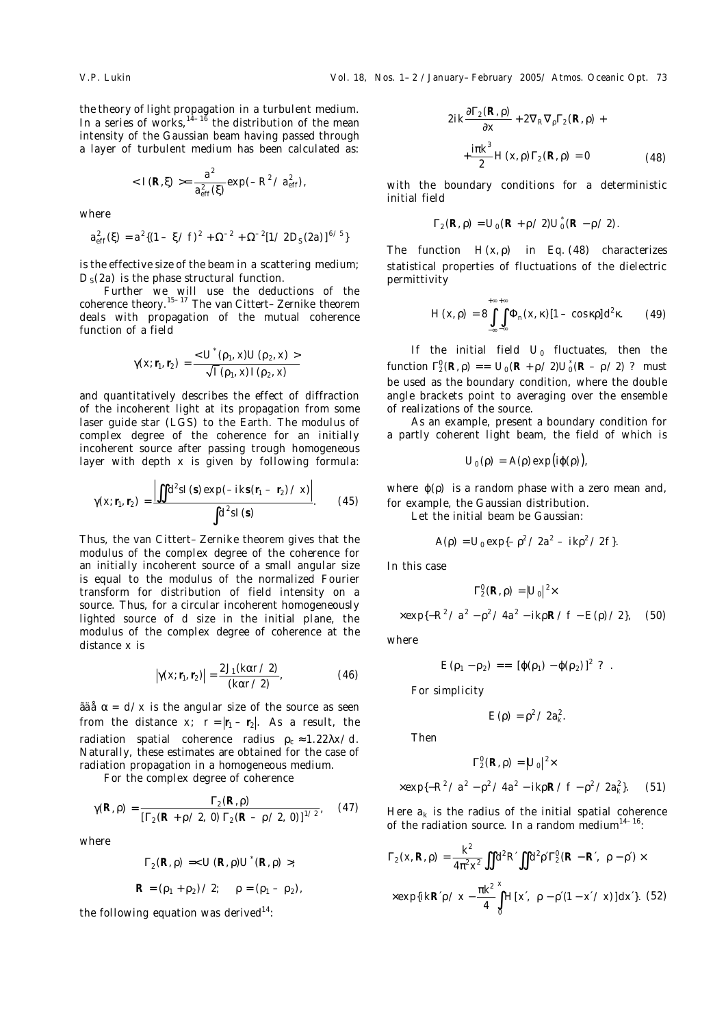the theory of light propagation in a turbulent medium. In a series of works, $14-16$  the distribution of the mean intensity of the Gaussian beam having passed through a layer of turbulent medium has been calculated as:

$$
= \frac{a^2}{a_{\text{eff}}^2(\xi)} \exp(-R^2 / a_{\text{eff}}^2),
$$

where

$$
a_{\rm eff}^2(\xi) = a^2 \{ (1 - \xi / f)^2 + \Omega^{-2} + \Omega^{-2} [1 / 2D_{\rm S}(2a)]^{6/5} \}
$$

is the effective size of the beam in a scattering medium; *D*<sub>S</sub>(2*a*) is the phase structural function.

Further we will use the deductions of the coherence theory.15–17 The van Cittert–Zernike theorem deals with propagation of the mutual coherence function of a field

$$
\gamma(x; r_1, r_2) = \frac{<\,U^{*}(\rho_1, x)U(\rho_2, x)>}{\sqrt{I}(\rho_1, x)I(\rho_2, x)}
$$

and quantitatively describes the effect of diffraction of the incoherent light at its propagation from some laser guide star (LGS) to the Earth. The modulus of complex degree of the coherence for an initially incoherent source after passing trough homogeneous layer with depth *x* is given by following formula:

$$
\gamma(x; r_1, r_2) = \frac{\left| \iint d^2 s I(s) \exp(-ik s (r_1 - r_2) \, / \, x) \right|}{\int d^2 s I(s)}.
$$
 (45)

Thus, the van Cittert–Zernike theorem gives that the modulus of the complex degree of the coherence for an initially incoherent source of a small angular size is equal to the modulus of the normalized Fourier transform for distribution of field intensity on a source. Thus, for a circular incoherent homogeneously lighted source of *d* size in the initial plane, the modulus of the complex degree of coherence at the distance *x* is

$$
\left|\gamma(x; r_1, r_2)\right| = \frac{2J_1(k\alpha r/2)}{(k\alpha r/2)},
$$
\n(46)

 $\delta$ ää $\alpha$  =  $d/x$  is the angular size of the source as seen from the distance *x*;  $r = |r_1 - r_2|$ . As a result, the radiation spatial coherence radius  $\rho_c \approx 1.22 \lambda x/d$ . Naturally, these estimates are obtained for the case of radiation propagation in a homogeneous medium.

For the complex degree of coherence

$$
\gamma(R,\rho) = \frac{\Gamma_2(R,\rho)}{[\Gamma_2(R+\rho/2, 0) \Gamma_2(R-\rho/2, 0)]^{1/2}},
$$
 (47)

where

$$
\Gamma_2(R, \rho) = < U(R, \rho)U^*(R, \rho) >; R = (\rho_1 + \rho_2) / 2; \quad \rho = (\rho_1 - \rho_2),
$$

the following equation was derived<sup>14</sup>:

$$
2ik\frac{\partial\Gamma_2(\mathsf{R},\rho)}{\partial x} + 2\nabla_{\mathsf{R}}\nabla_{\rho}\Gamma_2(\mathsf{R},\rho) +
$$

$$
+\frac{i\pi k^3}{2}H(x,\rho)\Gamma_2(\mathsf{R},\rho) = 0 \tag{48}
$$

with the boundary conditions for a deterministic initial field

$$
\Gamma_2(R,\rho) = U_0(R + \rho/2)U_0^*(R - \rho/2).
$$

The function  $H(x, \rho)$  in Eq. (48) characterizes statistical properties of fluctuations of the dielectric permittivity

$$
H(x,\rho) = 8 \int_{-\infty}^{+\infty} \int_{-\infty}^{\infty} \Phi_n(x,\kappa) [1 - \cos \kappa \rho] d^2 \kappa. \qquad (49)
$$

If the initial field  $U_0$  fluctuates, then the function  $\Gamma_2^0(R, \rho) = N U_0 (R + \rho / 2) U_0 (R - \rho / 2)$  P must be used as the boundary condition, where the double angle brackets point to averaging over the ensemble of realizations of the source.

As an example, present a boundary condition for a partly coherent light beam, the field of which is

$$
U_0(\rho) = A(\rho) \exp(i\varphi(\rho)),
$$

where  $\varphi(\rho)$  is a random phase with a zero mean and, for example, the Gaussian distribution.

Let the initial beam be Gaussian:

$$
A(\rho) = U_0 \exp\{-\rho^2 / 2a^2 - ik\rho^2 / 2f\}.
$$

In this case

$$
\Gamma_2^0(R,\rho)=|U_0|^2\times
$$

$$
\times \exp\{-R^2 / a^2 - \rho^2 / 4a^2 - ikpR / f - E(\rho) / 2\},\tag{50}
$$

where

$$
E(\rho_1-\rho_2)=N[\varphi(\rho_1)-\varphi(\rho_2)]^2 P.
$$

For simplicity

$$
E(\rho)=\rho^2/2a_k^2.
$$

Then

$$
\Gamma_2^0(R,\rho)=|U_0|^2\times
$$

$$
\times \exp\{-R^2 / a^2 - \rho^2 / 4a^2 - i k \rho R / f - \rho^2 / 2a_k^2\}.
$$
 (51)

Here  $a_k$  is the radius of the initial spatial coherence of the radiation source. In a random medium $14-16$ :

$$
\Gamma_2(x, R, \rho) = \frac{k^2}{4\pi^2 x^2} \iint d^2 R \iint d^2 \rho' \Gamma_2^0 (R - R', \rho - \rho') \times
$$
  
 
$$
\times \exp\{ikR'\rho / x - \frac{\pi k^2}{4} \int_0^x H[x', \rho - \rho' (1 - x'/x)] dx'\}. (52)
$$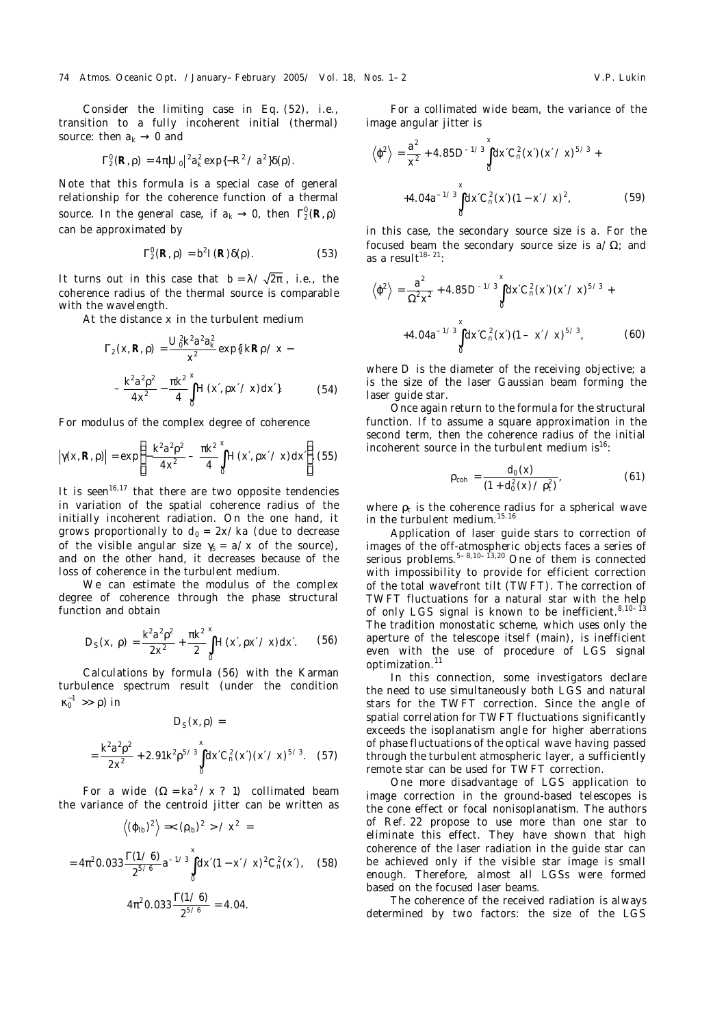Consider the limiting case in Eq. (52), i.e., transition to a fully incoherent initial (thermal) source: then  $a_k \rightarrow 0$  and

$$
\Gamma_2^0(R,\rho) = 4\pi |U_0|^2 a_k^2 \exp\{-R^2 \angle a^2\} \delta(\rho).
$$

Note that this formula is a special case of general relationship for the coherence function of a thermal source. In the general case, if  $a_k \to 0$ , then  $\Gamma_2^0(\mathcal{R}, \rho)$ can be approximated by

$$
\Gamma_2^0(R,\rho) = b^2 I(R)\delta(\rho). \tag{53}
$$

It turns out in this case that  $b = \lambda / \sqrt{2\pi}$ , i.e., the coherence radius of the thermal source is comparable with the wavelength.

At the distance *x* in the turbulent medium

$$
\Gamma_2(x, R, \rho) = \frac{U_0^2 k^2 a^2 a_k^2}{x^2} \exp\{ikR\rho / x - \frac{k^2 a^2 \rho^2}{4 x^2} - \frac{\pi k^2}{4} \int_0^x H(x, \rho x / x) dx'\}.
$$
 (54)

For modulus of the complex degree of coherence

$$
|\gamma(x, R, \rho)| = \exp \left\{ -\frac{k^2 a^2 \rho^2}{4x^2} - \frac{\pi k^2}{4} \int_0^x H(x', \rho x' / x) dx' \right\}
$$
 (55)

It is seen<sup>16,17</sup> that there are two opposite tendencies in variation of the spatial coherence radius of the initially incoherent radiation. On the one hand, it grows proportionally to  $d_0 = 2x/ka$  (due to decrease of the visible angular size  $\gamma_s = a/x$  of the source), and on the other hand, it decreases because of the loss of coherence in the turbulent medium.

We can estimate the modulus of the complex degree of coherence through the phase structural function and obtain

$$
D_{\rm S}(x,\,\rho)=\frac{k^2a^2\rho^2}{2x^2}+\frac{\pi k^2}{2}\int\limits_{0}^{x}H(x',\rho x'\,/\,x){\rm d}x'.\qquad(56)
$$

Calculations by formula (56) with the Karman turbulence spectrum result (under the condition  $\kappa_0^{-1} \gg \rho$ ) in

 $P(x)$ 

$$
L_{S}(X,\rho) =
$$
  
=  $\frac{k^{2}a^{2}\rho^{2}}{2x^{2}} + 2.91k^{2}\rho^{5/3}\int_{0}^{X}dx' C_{n}^{2}(x') (x'/x)^{5/3}$ . (57)

For a wide  $(Q = ka^2 / x \, P)$  collimated beam the variance of the centroid jitter can be written as

$$
\langle (\varphi_{\mathsf{lb}})^2 \rangle \approx (\rho_{\mathsf{lb}})^2 > \chi^2 =
$$
  
=  $4\pi^2 0.033 \frac{\Gamma(1/6)}{2^{5/6}} a^{-1/3} \int_0^x dx'(1 - x' \chi)^2 C_n^2(x')$ , (58)  
 $4\pi^2 0.033 \frac{\Gamma(1/6)}{2^{5/6}} = 4.04.$ 

For a collimated wide beam, the variance of the image angular jitter is

$$
\langle \varphi^2 \rangle = \frac{a^2}{x^2} + 4.85 D^{-1/3} \int_0^x dx' C_n^2(x') (x' / x)^{5/3} +
$$
  
+4.04a<sup>-1/3</sup>  $\int_0^x dx' C_n^2(x') (1 - x' / x)^2,$  (59)

in this case, the secondary source size is *a*. For the focused beam the secondary source size is *a*/Ω; and as a result $18-21$ :

$$
\langle \varphi^2 \rangle = \frac{a^2}{\Omega^2 x^2} + 4.85 D^{-1/3} \int_0^x d\chi C_n^2(x) (x'/x)^{5/3} +
$$
  
+4.04a<sup>-1/3</sup>  $\int_0^x d\chi C_n^2(x) (1 - x'/x)^{5/3}$ , (60)

where *D* is the diameter of the receiving objective; *a* is the size of the laser Gaussian beam forming the laser guide star.

Once again return to the formula for the structural function. If to assume a square approximation in the second term, then the coherence radius of the initial incoherent source in the turbulent medium is $<sup>16</sup>$ :</sup>

$$
\rho_{\rm coh} = \frac{d_0(x)}{(1 + d_0^2(x) / \rho_t^2)},
$$
\n(61)

where  $\rho_t$  is the coherence radius for a spherical wave in the turbulent medium.<sup>15.16</sup>

Application of laser guide stars to correction of images of the off-atmospheric objects faces a series of serious problems.  $5-8,10-13,20$  One of them is connected with impossibility to provide for efficient correction of the total wavefront tilt (TWFT). The correction of TWFT fluctuations for a natural star with the help of only LGS signal is known to be inefficient.<sup>8,10–13</sup> The tradition monostatic scheme, which uses only the aperture of the telescope itself (main), is inefficient even with the use of procedure of LGS signal optimization.<sup>11</sup>

In this connection, some investigators declare the need to use simultaneously both LGS and natural stars for the TWFT correction. Since the angle of spatial correlation for TWFT fluctuations significantly exceeds the isoplanatism angle for higher aberrations of phase fluctuations of the optical wave having passed through the turbulent atmospheric layer, a sufficiently remote star can be used for TWFT correction.

One more disadvantage of LGS application to image correction in the ground-based telescopes is the cone effect or focal nonisoplanatism. The authors of Ref. 22 propose to use more than one star to eliminate this effect. They have shown that high coherence of the laser radiation in the guide star can be achieved only if the visible star image is small enough. Therefore, almost all LGSs were formed based on the focused laser beams.

The coherence of the received radiation is always determined by two factors: the size of the LGS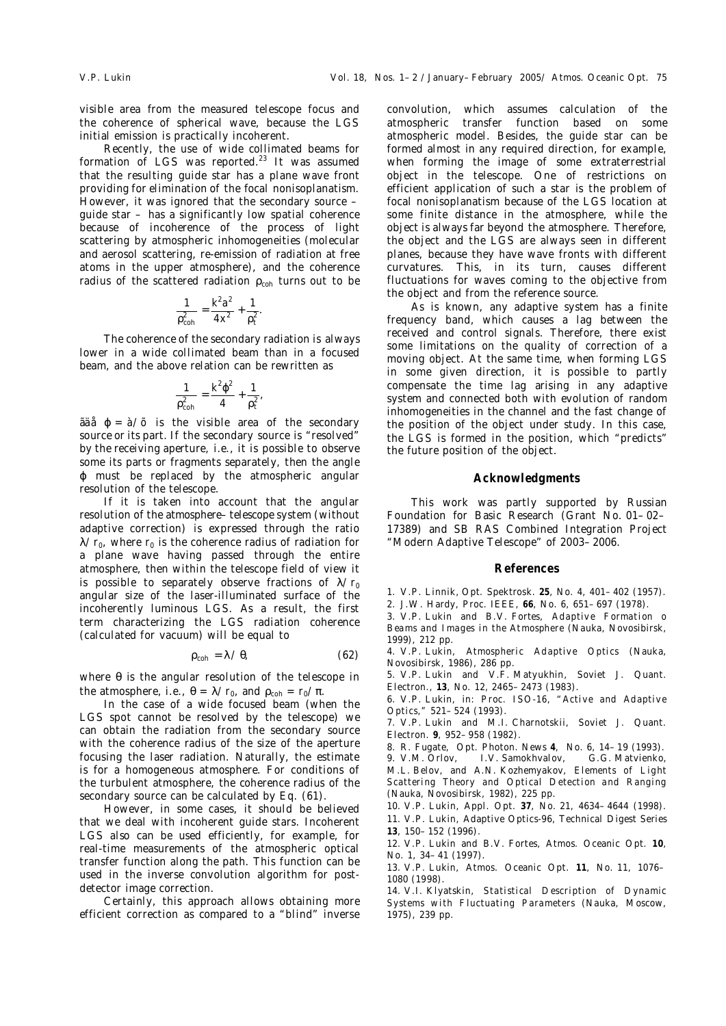visible area from the measured telescope focus and the coherence of spherical wave, because the LGS initial emission is practically incoherent.

Recently, the use of wide collimated beams for formation of LGS was reported. $^{23}$  It was assumed that the resulting guide star has a plane wave front providing for elimination of the focal nonisoplanatism. However, it was ignored that the secondary source – guide star – has a significantly low spatial coherence because of incoherence of the process of light scattering by atmospheric inhomogeneities (molecular and aerosol scattering, re-emission of radiation at free atoms in the upper atmosphere), and the coherence radius of the scattered radiation  $\rho_{coh}$  turns out to be

$$
\frac{1}{\rho_{coh}^2} = \frac{k^2 a^2}{4 x^2} + \frac{1}{\rho_t^2}.
$$

The coherence of the secondary radiation is always lower in a wide collimated beam than in a focused beam, and the above relation can be rewritten as

$$
\frac{1}{\rho_{coh}^2} = \frac{k^2 \varphi^2}{4} + \frac{1}{\rho_t^2},
$$

ãäå ϕ = *à*/*õ* is the visible area of the secondary source or its part. If the secondary source is "resolved" by the receiving aperture, i.e., it is possible to observe some its parts or fragments separately, then the angle ϕ must be replaced by the atmospheric angular resolution of the telescope.

If it is taken into account that the angular resolution of the atmosphere–telescope system (without adaptive correction) is expressed through the ratio  $\lambda/r_0$ , where  $r_0$  is the coherence radius of radiation for a plane wave having passed through the entire atmosphere, then within the telescope field of view it is possible to separately observe fractions of  $\lambda/r_0$ angular size of the laser-illuminated surface of the incoherently luminous LGS. As a result, the first term characterizing the LGS radiation coherence (calculated for vacuum) will be equal to

$$
\rho_{\rm coh} = \lambda / \theta, \tag{62}
$$

where  $θ$  is the angular resolution of the telescope in the atmosphere, i.e.,  $\theta = \lambda / r_0$ , and  $\rho_{coh} = r_0 / \pi$ .

In the case of a wide focused beam (when the LGS spot cannot be resolved by the telescope) we can obtain the radiation from the secondary source with the coherence radius of the size of the aperture focusing the laser radiation. Naturally, the estimate is for a homogeneous atmosphere. For conditions of the turbulent atmosphere, the coherence radius of the secondary source can be calculated by Eq. (61).

However, in some cases, it should be believed that we deal with incoherent guide stars. Incoherent LGS also can be used efficiently, for example, for real-time measurements of the atmospheric optical transfer function along the path. This function can be used in the inverse convolution algorithm for postdetector image correction.

Certainly, this approach allows obtaining more efficient correction as compared to a "blind" inverse convolution, which assumes calculation of the atmospheric transfer function based on some atmospheric model. Besides, the guide star can be formed almost in any required direction, for example, when forming the image of some extraterrestrial object in the telescope. One of restrictions on efficient application of such a star is the problem of focal nonisoplanatism because of the LGS location at some finite distance in the atmosphere, while the object is always far beyond the atmosphere. Therefore, the object and the LGS are always seen in different planes, because they have wave fronts with different curvatures. This, in its turn, causes different fluctuations for waves coming to the objective from the object and from the reference source.

As is known, any adaptive system has a finite frequency band, which causes a lag between the received and control signals. Therefore, there exist some limitations on the quality of correction of a moving object. At the same time, when forming LGS in some given direction, it is possible to partly compensate the time lag arising in any adaptive system and connected both with evolution of random inhomogeneities in the channel and the fast change of the position of the object under study. In this case, the LGS is formed in the position, which "predicts" the future position of the object.

### **Acknowledgments**

This work was partly supported by Russian Foundation for Basic Research (Grant No. 01–02– 17389) and SB RAS Combined Integration Project "Modern Adaptive Telescope" of 2003–2006.

#### **References**

1. V.P. Linnik, Opt. Spektrosk. **25**, No. 4, 401–402 (1957).

2. J.W. Hardy, Proc. IEEE, **66**, No. 6, 651–697 (1978).

3. V.P. Lukin and B.V. Fortes, *Adaptive Formation o Beams and Images in the Atmosphere* (Nauka, Novosibirsk, 1999), 212 pp.

- 4. V.P. Lukin, *Atmospheric Adaptive Optics* (Nauka, Novosibirsk, 1986), 286 pp.
- 5. V.P. Lukin and V.F. Matyukhin, Soviet J. Quant. Electron., **13**, No. 12, 2465–2473 (1983).

6. V.P. Lukin, in: *Proc. ISO-16, "Active and Adaptive Optics,"* 521–524 (1993).

7. V.P. Lukin and M.I. Charnotskii, Soviet J. Quant. Electron. **9**, 952–958 (1982).

8. R. Fugate, Opt. Photon. News **4**, No. 6, 14–19 (1993).

9. V.M. Orlov, I.V. Samokhvalov, G.G. Matvienko, M.L. Belov, and A.N. Kozhemyakov, *Elements of Light Scattering Theory and Optical Detection and Ranging* (Nauka, Novosibirsk, 1982), 225 pp.

10. V.P. Lukin, Appl. Opt. **37**, No. 21, 4634–4644 (1998).

11. V.P. Lukin, Adaptive Optics-96, Technical Digest Series **13**, 150–152 (1996).

12. V.P. Lukin and B.V. Fortes, Atmos. Oceanic Opt. **10**, No. 1, 34–41 (1997).

13. V.P. Lukin, Atmos. Oceanic Opt. **11**, No. 11, 1076– 1080 (1998).

14. V.I. Klyatskin, *Statistical Description of Dynamic Systems with Fluctuating Parameters* (Nauka, Moscow, 1975), 239 pp.